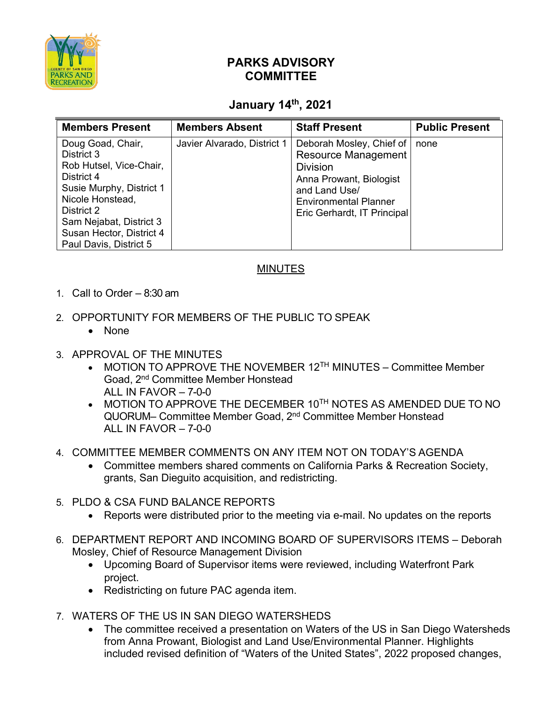

## **PARKS ADVISORY COMMITTEE**

## **January 14th, 2021**

| <b>Members Present</b>                                                                                                                                            | <b>Members Absent</b>       | <b>Staff Present</b>                                                                                                                                                          | <b>Public Present</b> |
|-------------------------------------------------------------------------------------------------------------------------------------------------------------------|-----------------------------|-------------------------------------------------------------------------------------------------------------------------------------------------------------------------------|-----------------------|
| Doug Goad, Chair,<br>District 3<br>Rob Hutsel, Vice-Chair,<br>District 4<br>Susie Murphy, District 1<br>Nicole Honstead,<br>District 2<br>Sam Nejabat, District 3 | Javier Alvarado, District 1 | Deborah Mosley, Chief of<br>Resource Management<br><b>Division</b><br>Anna Prowant, Biologist<br>and Land Use/<br><b>Environmental Planner</b><br>Eric Gerhardt, IT Principal | none                  |
| Susan Hector, District 4                                                                                                                                          |                             |                                                                                                                                                                               |                       |
| Paul Davis, District 5                                                                                                                                            |                             |                                                                                                                                                                               |                       |

## MINUTES

- 1. Call to Order 8:30 am
- 2. OPPORTUNITY FOR MEMBERS OF THE PUBLIC TO SPEAK
	- None
- 3. APPROVAL OF THE MINUTES
	- MOTION TO APPROVE THE NOVEMBER 12<sup>TH</sup> MINUTES Committee Member Goad, 2nd Committee Member Honstead ALL IN FAVOR – 7-0-0
	- MOTION TO APPROVE THE DECEMBER 10TH NOTES AS AMENDED DUE TO NO QUORUM– Committee Member Goad, 2nd Committee Member Honstead ALL IN FAVOR  $-7-0-0$
- 4. COMMITTEE MEMBER COMMENTS ON ANY ITEM NOT ON TODAY'S AGENDA
	- Committee members shared comments on California Parks & Recreation Society, grants, San Dieguito acquisition, and redistricting.
- 5. PLDO & CSA FUND BALANCE REPORTS
	- Reports were distributed prior to the meeting via e-mail. No updates on the reports
- 6. DEPARTMENT REPORT AND INCOMING BOARD OF SUPERVISORS ITEMS Deborah Mosley, Chief of Resource Management Division
	- Upcoming Board of Supervisor items were reviewed, including Waterfront Park project.
	- Redistricting on future PAC agenda item.
- 7. WATERS OF THE US IN SAN DIEGO WATERSHEDS
	- The committee received a presentation on Waters of the US in San Diego Watersheds from Anna Prowant, Biologist and Land Use/Environmental Planner. Highlights included revised definition of "Waters of the United States", 2022 proposed changes,